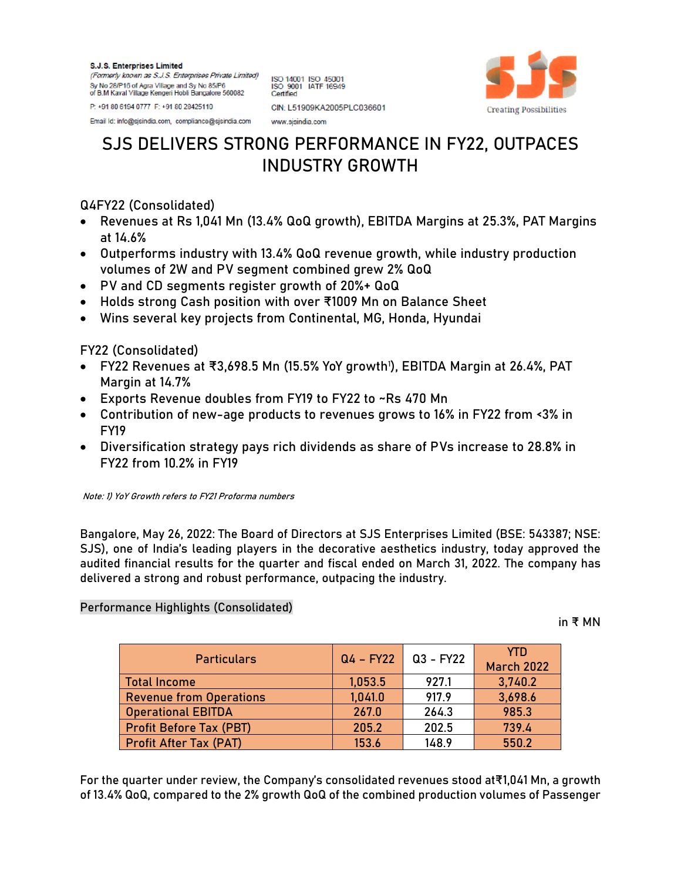**S.J.S. Enterprises Limited** (Formerly known as S.J.S. Enterprises Private Limited) Sy No 28/P16 of Agra Village and Sy No 85/P6 of B.M Kaval Village Kengeri Hobli Bangalore 560082

ISO 14001 ISO 45001<br>ISO 9001 IATF 16949 Certified CIN: L51909KA2005PLC036601

www.sisindia.com



Email ld: info@sjsindia.com, compliance@sjsindia.com

P: +91 80 6194 0777 F: +91 80 28425110

## **SJS DELIVERS STRONG PERFORMANCE IN FY22, OUTPACES INDUSTRY GROWTH**

## Q4FY22 (Consolidated)

- Revenues at Rs 1,041 Mn (13.4% QoQ growth), EBITDA Margins at 25.3%, PAT Margins at 14.6%
- Outperforms industry with 13.4% QoQ revenue growth, while industry production volumes of 2W and PV segment combined grew 2% QoQ
- PV and CD segments register growth of 20%+ QoQ
- Holds strong Cash position with over ₹1009 Mn on Balance Sheet
- Wins several key projects from Continental, MG, Honda, Hyundai

FY22 (Consolidated)

- FY22 Revenues at ₹3,698.5 Mn (15.5% YoY growth'), EBITDA Margin at 26.4%, PAT Margin at 14.7%
- Exports Revenue doubles from FY19 to FY22 to ~Rs 470 Mn
- Contribution of new-age products to revenues grows to 16% in FY22 from <3% in FY19
- Diversification strategy pays rich dividends as share of PVs increase to 28.8% in FY22 from 10.2% in FY19

Note: 1) YoY Growth refers to FY21 Proforma numbers

**Bangalore, May 26, 2022:** The Board of Directors at **SJS Enterprises Limited (BSE: 543387; NSE: SJS)**, one of India's leading players in the decorative aesthetics industry, today approved the audited financial results for the quarter and fiscal ended on March 31, 2022. The company has delivered a strong and robust performance, outpacing the industry.

## **Performance Highlights (Consolidated)**

**in ₹ MN**

| <b>Particulars</b>             | $Q4 - FY22$ | Q3 - FY22 | YTD.<br><b>March 2022</b> |
|--------------------------------|-------------|-----------|---------------------------|
| <b>Total Income</b>            | 1,053.5     | 927.1     | 3,740.2                   |
| <b>Revenue from Operations</b> | 1,041.0     | 917.9     | 3,698.6                   |
| <b>Operational EBITDA</b>      | 267.0       | 264.3     | 985.3                     |
| <b>Profit Before Tax (PBT)</b> | 205.2       | 202.5     | 739.4                     |
| <b>Profit After Tax (PAT)</b>  | 153.6       | 148.9     | 550.2                     |

For the quarter under review, the Company's consolidated revenues stood at₹1,041 Mn, a growth of 13.4% QoQ, compared to the 2% growth QoQ of the combined production volumes of Passenger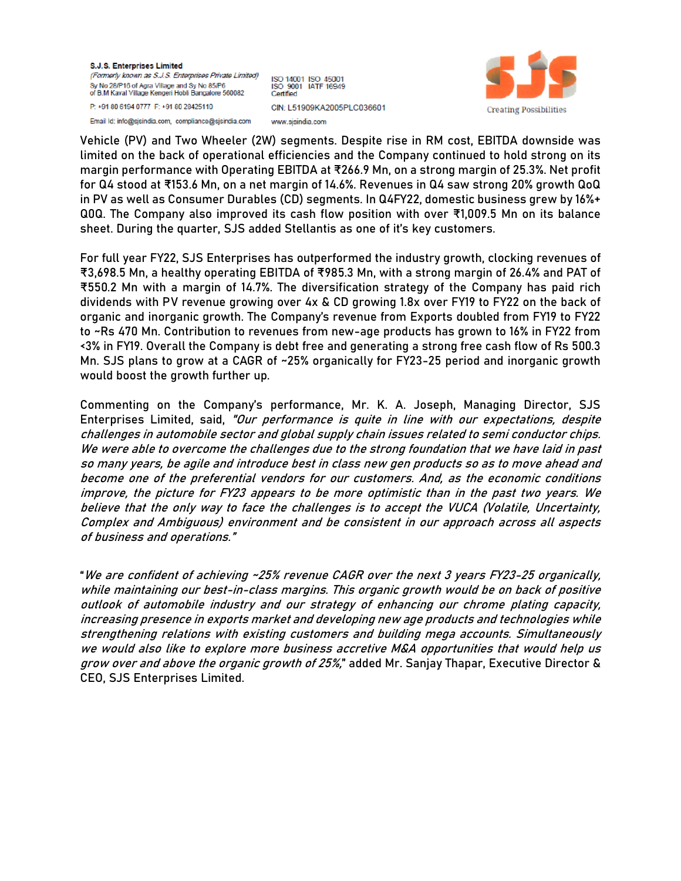**S.J.S. Enterprises Limited** (Formerly known as S.J.S. Enterprises Private Limited) Sy No 28/P16 of Agra Village and Sy No 85/P6 of B.M Kaval Village Kengeri Hobli Bangalore 560082 P: +91 80 6194 0777 F: +91 80 28425110

Email Id: info@sjsindia.com, compliance@sjsindia.com

ISO 14001 ISO 45001<br>ISO 9001 IATF 16949 Certified CIN: L51909KA2005PLC036601 www.sisindia.com



Vehicle (PV) and Two Wheeler (2W) segments. Despite rise in RM cost, EBITDA downside was limited on the back of operational efficiencies and the Company continued to hold strong on its margin performance with Operating EBITDA at ₹266.9 Mn, on a strong margin of 25.3%. Net profit for Q4 stood at ₹153.6 Mn, on a net margin of 14.6%. Revenues in Q4 saw strong 20% growth QoQ in PV as well as Consumer Durables (CD) segments. In Q4FY22, domestic business grew by 16%+ Q0Q. The Company also improved its cash flow position with over ₹1,009.5 Mn on its balance sheet. During the quarter, SJS added Stellantis as one of it's key customers.

For full year FY22, SJS Enterprises has outperformed the industry growth, clocking revenues of ₹3,698.5 Mn, a healthy operating EBITDA of ₹985.3 Mn, with a strong margin of 26.4% and PAT of ₹550.2 Mn with a margin of 14.7%. The diversification strategy of the Company has paid rich dividends with PV revenue growing over 4x & CD growing 1.8x over FY19 to FY22 on the back of organic and inorganic growth. The Company's revenue from Exports doubled from FY19 to FY22 to ~Rs 470 Mn. Contribution to revenues from new-age products has grown to 16% in FY22 from <3% in FY19. Overall the Company is debt free and generating a strong free cash flow of Rs 500.3 Mn. SJS plans to grow at a CAGR of ~25% organically for FY23-25 period and inorganic growth would boost the growth further up.

Commenting on the Company's performance, **Mr. K. A. Joseph, Managing Director, SJS Enterprises Limited,** said, "Our performance is quite in line with our expectations, despite challenges in automobile sector and global supply chain issues related to semi conductor chips. We were able to overcome the challenges due to the strong foundation that we have laid in past so many years, be agile and introduce best in class new gen products so as to move ahead and become one of the preferential vendors for our customers. And, as the economic conditions improve, the picture for FY23 appears to be more optimistic than in the past two years. We believe that the only way to face the challenges is to accept the VUCA (Volatile, Uncertainty, Complex and Ambiguous) environment and be consistent in our approach across all aspects of business and operations."

"We are confident of achieving ~25% revenue CAGR over the next 3 years FY23-25 organically, while maintaining our best-in-class margins. This organic growth would be on back of positive outlook of automobile industry and our strategy of enhancing our chrome plating capacity, increasing presence in exports market and developing new age products and technologies while strengthening relations with existing customers and building mega accounts. Simultaneously we would also like to explore more business accretive M&A opportunities that would help us grow over and above the organic growth of 25%," added **Mr. Sanjay Thapar, Executive Director & CEO, SJS Enterprises Limited**.